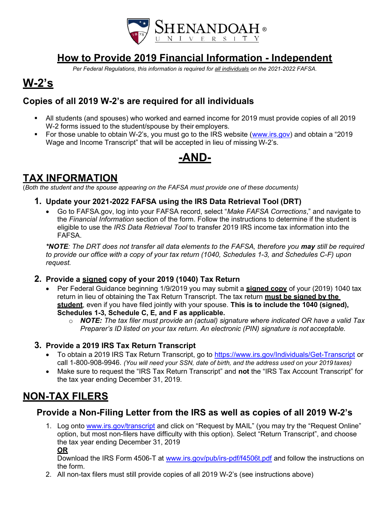

# How to Provide 2019 Financial Information - Independent

Per Federal Regulations, this information is required for all individuals on the 2021-2022 FAFSA.

# W-2's

### Copies of all 2019 W-2's are required for all individuals

- All students (and spouses) who worked and earned income for 2019 must provide copies of all 2019 W-2 forms issued to the student/spouse by their employers.
- For those unable to obtain W-2's, you must go to the IRS website (www.irs.gov) and obtain a "2019 Wage and Income Transcript" that will be accepted in lieu of missing W-2's.

# -AND-

## TAX INFORMATION

(Both the student and the spouse appearing on the FAFSA must provide one of these documents)

- 1. Update your 2021-2022 FAFSA using the IRS Data Retrieval Tool (DRT)
	- Go to FAFSA.gov, log into your FAFSA record, select "Make FAFSA Corrections," and navigate to the Financial Information section of the form. Follow the instructions to determine if the student is eligible to use the *IRS Data Retrieval Tool* to transfer 2019 IRS income tax information into the FAFSA.

\*NOTE: The DRT does not transfer all data elements to the FAFSA, therefore you may still be required to provide our office with a copy of your tax return (1040, Schedules 1-3, and Schedules C-F) upon request.

- 2. Provide a signed copy of your 2019 (1040) Tax Return
	- Per Federal Guidance beginning 1/9/2019 you may submit a signed copy of your (2019) 1040 tax return in lieu of obtaining the Tax Return Transcript. The tax return must be signed by the student, even if you have filed jointly with your spouse. This is to include the 1040 (signed), Schedules 1-3, Schedule C, E, and F as applicable.
		- $\circ$  **NOTE:** The tax filer must provide an (actual) signature where indicated OR have a valid Tax Preparer's ID listed on your tax return. An electronic (PIN) signature is not acceptable.

### 3. Provide a 2019 IRS Tax Return Transcript

- To obtain a 2019 IRS Tax Return Transcript, go to https://www.irs.gov/Individuals/Get-Transcript or call 1-800-908-9946. (You will need your SSN, date of birth, and the address used on your 2019 taxes)
- Make sure to request the "IRS Tax Return Transcript" and not the "IRS Tax Account Transcript" for the tax year ending December 31, 2019.

# NON-TAX FILERS

### Provide a Non-Filing Letter from the IRS as well as copies of all 2019 W-2's

1. Log onto www.irs.gov/transcript and click on "Request by MAIL" (you may try the "Request Online" option, but most non-filers have difficulty with this option). Select "Return Transcript", and choose the tax year ending December 31, 2019 OR

Download the IRS Form 4506-T at www.irs.gov/pub/irs-pdf/f4506t.pdf and follow the instructions on the form.

2. All non-tax filers must still provide copies of all 2019 W-2's (see instructions above)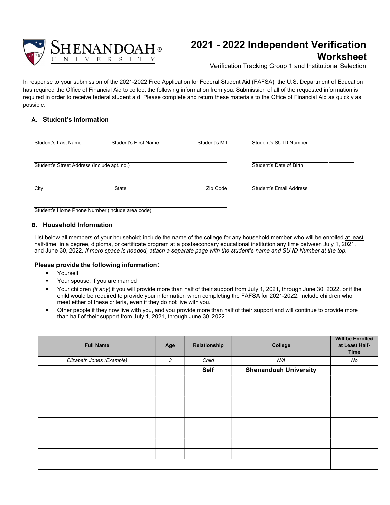

## 2021 - 2022 Independent Verification **Worksheet**

Verification Tracking Group 1 and Institutional Selection

In response to your submission of the 2021-2022 Free Application for Federal Student Aid (FAFSA), the U.S. Department of Education has required the Office of Financial Aid to collect the following information from you. Submission of all of the requested information is required in order to receive federal student aid. Please complete and return these materials to the Office of Financial Aid as quickly as possible.

#### A. Student's Information

| Student's Last Name                              | <b>Student's First Name</b> | Student's M.I.          | Student's SU ID Number  |  |
|--------------------------------------------------|-----------------------------|-------------------------|-------------------------|--|
| Student's Street Address (include apt. no.)      |                             | Student's Date of Birth |                         |  |
| City                                             | <b>State</b>                | Zip Code                | Student's Email Address |  |
| Ctudent's Llame Dhana Number (include area sade) |                             |                         |                         |  |

Student's Home Phone Number (include area code)

#### B. Household Information

List below all members of your household; include the name of the college for any household member who will be enrolled at least half-time, in a degree, diploma, or certificate program at a postsecondary educational institution any time between July 1, 2021, and June 30, 2022. If more space is needed, attach a separate page with the student's name and SU ID Number at the top.

#### Please provide the following information:

- Yourself
- Your spouse, if you are married
- Your children (if any) if you will provide more than half of their support from July 1, 2021, through June 30, 2022, or if the child would be required to provide your information when completing the FAFSA for 2021-2022. Include children who meet either of these criteria, even if they do not live with you.
- Other people if they now live with you, and you provide more than half of their support and will continue to provide more than half of their support from July 1, 2021, through June 30, 2022

| <b>Full Name</b>          | Age | Relationship | College                      | <b>Will be Enrolled</b><br>at Least Half-<br><b>Time</b> |
|---------------------------|-----|--------------|------------------------------|----------------------------------------------------------|
| Elizabeth Jones (Example) | 3   | Child        | N/A                          | No                                                       |
|                           |     | <b>Self</b>  | <b>Shenandoah University</b> |                                                          |
|                           |     |              |                              |                                                          |
|                           |     |              |                              |                                                          |
|                           |     |              |                              |                                                          |
|                           |     |              |                              |                                                          |
|                           |     |              |                              |                                                          |
|                           |     |              |                              |                                                          |
|                           |     |              |                              |                                                          |
|                           |     |              |                              |                                                          |
|                           |     |              |                              |                                                          |